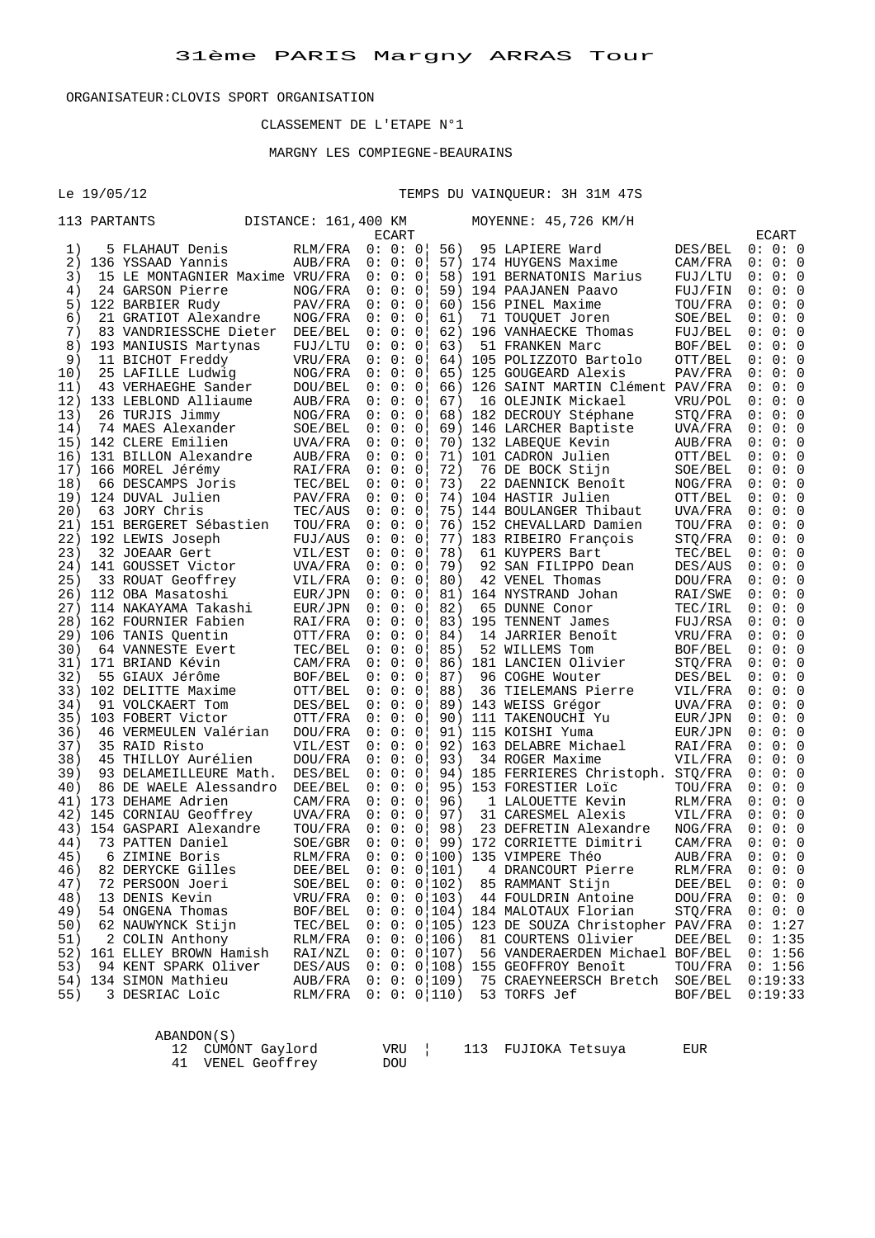ABANDON(S)

# CLASSEMENT DE L'ETAPE N°1

## MARGNY LES COMPIEGNE-BEAURAINS

Le 19/05/12 TEMPS DU VAINQUEUR: 3H 31M 47S

|     | 113 PARTANTS                                        | DISTANCE: 161,400 KM |                    |                    |                | MOYENNE: 45,726 KM/H                                                             |                    |                    |  |
|-----|-----------------------------------------------------|----------------------|--------------------|--------------------|----------------|----------------------------------------------------------------------------------|--------------------|--------------------|--|
|     |                                                     |                      |                    | ECART              |                |                                                                                  |                    | ECART              |  |
| 1)  | 5 FLAHAUT Denis                                     |                      | RLM/FRA            | 0: 0: 0            | 56)            | 95 LAPIERE Ward                                                                  | DES/BEL            | 0: 0: 0            |  |
| 2)  | 136 YSSAAD Yannis                                   |                      | AUB/FRA            | 0: 0: 0            |                | 57) 174 HUYGENS Maxime                                                           | CAM/FRA            | 0: 0: 0            |  |
| 3)  | 15 LE MONTAGNIER Maxime VRU/FRA                     |                      |                    | 0: 0: 0            |                | 58) 191 BERNATONIS Marius                                                        | FUJ/LTU            | 0: 0: 0            |  |
| 4)  | 24 GARSON Pierre                                    |                      | NOG/FRA            | 0: 0: 0            |                | 59) 194 PAAJANEN Paavo                                                           | FUJ/FIN            | 0: 0: 0            |  |
|     | 5) 122 BARBIER Rudy                                 |                      | PAV/FRA            | 0: 0: 0            |                | 60) 156 PINEL Maxime                                                             | TOU/FRA            | 0: 0: 0            |  |
| 6)  | 21 GRATIOT Alexandre                                |                      | NOG/FRA            | 0: 0: 0!           | 61)            | 71 TOUQUET Joren                                                                 | SOE/BEL            | 0: 0: 0            |  |
| 7)  | 83 VANDRIESSCHE Dieter                              |                      | DEE/BEL            | 0: 0: 0            |                | 62) 196 VANHAECKE Thomas                                                         | FUJ/BEL            | 0: 0: 0            |  |
| 8)  | 193 MANIUSIS Martynas                               |                      | FUJ/LTU            | 0: 0: 0            | 63)            | 51 FRANKEN Marc                                                                  | BOF/BEL            | 0: 0: 0            |  |
| 9)  | 11 BICHOT Freddy                                    |                      | VRU/FRA            | 0: 0: 0            |                | 64) 105 POLIZZOTO Bartolo                                                        | OTT/BEL            | 0: 0: 0            |  |
| 10) | 25 LAFILLE Ludwig                                   |                      | NOG/FRA            | 0: 0: 0            |                | 65) 125 GOUGEARD Alexis                                                          | PAV/FRA            | 0: 0: 0            |  |
| 11) | 43 VERHAEGHE Sander                                 |                      | DOU/BEL            | 0: 0: 0            |                | 66) 126 SAINT MARTIN Clément PAV/FRA                                             |                    | 0: 0: 0            |  |
|     | 12) 133 LEBLOND Alliaume                            |                      | AUB/FRA            | 0: 0: 0            | 67)            | 16 OLEJNIK Mickael                                                               | VRU/POL            | 0:0:0              |  |
| 13) | 26 TURJIS Jimmy                                     |                      | NOG/FRA            | 0: 0: 0            |                | 68) 182 DECROUY Stéphane                                                         | STQ/FRA            | 0:0:0              |  |
| 14) | 74 MAES Alexander                                   |                      | SOE/BEL            | 0: 0: 0            |                |                                                                                  | UVA/FRA            | 0: 0: 0            |  |
|     | 15) 142 CLERE Emilien                               |                      | UVA/FRA            | 0: 0: 0            |                | 69) 146 LARCHER Baptiste<br>70) 132 LABEQUE Kevin                                | AUB/FRA            | 0: 0: 0            |  |
|     | 16) 131 BILLON Alexandre                            |                      | AUB/FRA            | 0: 0: 0            |                | 71) 101 CADRON Julien                                                            | OTT/BEL            | 0: 0: 0            |  |
|     | 17) 166 MOREL Jérémy                                |                      | RAI/FRA            | 0: 0: 0            | 72)            | 76 DE BOCK Stijn                                                                 | SOE/BEL            | 0: 0: 0            |  |
| 18) | 66 DESCAMPS Joris                                   |                      | TEC/BEL            | 0: 0: 0            | 73)            | 22 DAENNICK Benoît                                                               | NOG/FRA            | 0: 0: 0            |  |
|     | 19) 124 DUVAL Julien                                |                      | PAV/FRA            | 0: 0: 0            |                | 74) 104 HASTIR Julien                                                            | OTT/BEL            | 0: 0: 0            |  |
|     | 20) 63 JORY Chris                                   |                      | TEC/AUS            | 0: 0: 0            |                | 75) 144 BOULANGER Thibaut                                                        | UVA/FRA            | 0: 0: 0            |  |
|     | 21) 151 BERGERET Sébastien                          |                      | TOU/FRA            | 0: 0: 0            |                | 76) 152 CHEVALLARD Damien                                                        | TOU/FRA            | 0: 0: 0            |  |
|     | 22) 192 LEWIS Joseph                                |                      | FUJ/AUS            | 0: 0: 0            |                | 77) 183 RIBEIRO François                                                         | STQ/FRA            | 0: 0: 0            |  |
| 23) | 32 JOEAAR Gert                                      |                      | VIL/EST            | 0: 0: 0!           | 78)            | 61 KUYPERS Bart                                                                  | TEC/BEL            | 0: 0: 0            |  |
|     |                                                     |                      |                    | 0: 0: 0            | 79)            | 92 SAN FILIPPO Dean                                                              |                    | 0: 0: 0            |  |
| 25) | 24) 141 GOUSSET Victor                              |                      | UVA/FRA            | 0: 0: 0            | 80)            | 42 VENEL Thomas                                                                  | DES/AUS<br>DOU/FRA | 0: 0: 0            |  |
|     | 33 ROUAT Geoffrey<br>26) 112 OBA Masatoshi          |                      | VIL/FRA            | 0: 0: 0            |                | 81) 164 NYSTRAND Johan                                                           |                    | 0:0:0              |  |
|     |                                                     |                      | EUR/JPN            | 0: 0: 0            |                |                                                                                  | RAI/SWE            |                    |  |
|     | 27) 114 NAKAYAMA Takashi<br>28) 162 FOURNIER Fabien |                      | EUR/JPN            | 0: 0: 0            | 82)            | 65 DUNNE Conor<br>82) 65 DUNNA COLL<br>83) 195 TENNENT James<br>11 TIPLER Renoît | TEC/IRL            | 0: 0: 0<br>0: 0: 0 |  |
|     |                                                     |                      | RAI/FRA            | 0: 0: 0            |                | 14 JARRIER Benoît                                                                | FUJ/RSA            | 0: 0: 0            |  |
| 30) | 29) 106 TANIS Quentin                               |                      | OTT/FRA            | 0: 0: 0            | 85)            | 52 WILLEMS Tom                                                                   | VRU/FRA            | 0: 0: 0            |  |
|     | 64 VANNESTE Evert<br>31) 171 BRIAND Kévin           |                      | TEC/BEL            |                    |                | 86) 181 LANCIEN Olivier                                                          | BOF/BEL            | 0: 0: 0            |  |
|     |                                                     |                      | CAM/FRA            | 0: 0: 0            |                |                                                                                  | STQ/FRA<br>DES/BEL | 0:0:0              |  |
| 32) | 55 GIAUX Jérôme<br>33) 102 DELITTE Maxime           |                      | BOF/BEL            | 0: 0: 0<br>0: 0: 0 | 87)<br>88)     | 96 COGHE Wouter<br>36 TIELEMANS Pierre                                           |                    | 0: 0: 0            |  |
| 34) | 91 VOLCKAERT Tom                                    |                      | OTT/BEL<br>DES/BEL | 0: 0: 0            |                |                                                                                  | VIL/FRA            | 0: 0: 0            |  |
|     | 35) 103 FOBERT Victor                               |                      |                    | 0: 0: 0            |                | 89) 143 WEISS Grégor                                                             | UVA/FRA            | 0: 0: 0            |  |
| 36) |                                                     |                      | OTT/FRA            | 0: 0: 0            |                | 90) 111 TAKENOUCHI Yu<br>91) 115 KOISHI Yuma<br>91) 115 KOISHI Yuma              | EUR/JPN            | 0: 0: 0            |  |
| 37) | 46 VERMEULEN Valérian<br>35 RAID Risto              |                      | DOU/FRA<br>VIL/EST | 0: 0: 0            |                | 92) 163 DELABRE Michael                                                          | EUR/JPN            | 0: 0: 0            |  |
| 38) | 45 THILLOY Aurélien                                 |                      |                    | 0: 0: 0            | 93)            | 34 ROGER Maxime                                                                  | RAI/FRA            | 0: 0: 0            |  |
| 39) |                                                     |                      | DOU/FRA            |                    |                |                                                                                  | VIL/FRA            | 0: 0: 0            |  |
| 40) | 93 DELAMEILLEURE Math.                              |                      | DES/BEL            | 0: 0: 0            |                | 94) 185 FERRIERES Christoph. STQ/FRA                                             |                    | 0: 0: 0            |  |
|     | 86 DE WAELE Alessandro                              | DEE/BEL              |                    | 0: 0: 0            |                | 95) 153 FORESTIER Loic                                                           | TOU/FRA            |                    |  |
|     | 41) 173 DEHAME Adrien                               |                      | CAM/FRA            | 0: 0: 0<br>0: 0: 0 | 96)            | 1 LALOUETTE Kevin                                                                | RLM/FRA            | 0: 0: 0<br>0:0:0   |  |
|     | 42) 145 CORNIAU Geoffrey                            |                      | UVA/FRA            |                    | 97)            | 31 CARESMEL Alexis                                                               | VIL/FRA            |                    |  |
|     | 43) 154 GASPARI Alexandre                           |                      | TOU/FRA            | 0: 0: 0            | 98)            | 23 DEFRETIN Alexandre                                                            | NOG/FRA            | 0: 0: 0            |  |
| 44) | 73 PATTEN Daniel                                    |                      | SOE/GBR            |                    |                | $0: 0: 0$   99) 172 CORRIETTE Dimitri                                            | CAM/FRA            | 0: 0: 0            |  |
| 45) | 6 ZIMINE Boris                                      |                      | RLM/FRA            |                    |                | 0: 0: 0 100) 135 VIMPERE Théo                                                    | AUB/FRA            | 0: 0: 0            |  |
| 46) | 82 DERYCKE Gilles                                   |                      | DEE/BEL            |                    | 0: 0: 0   101) | 4 DRANCOURT Pierre                                                               | RLM/FRA            | 0: 0: 0            |  |
| 47) | 72 PERSOON Joeri                                    |                      | SOE/BEL            |                    | 0: 0: 0 102)   | 85 RAMMANT Stijn                                                                 | DEE/BEL            | 0: 0: 0            |  |
| 48) | 13 DENIS Kevin                                      |                      | VRU/FRA            |                    | 0: 0: 0 103)   | 44 FOULDRIN Antoine                                                              | DOU/FRA            | 0: 0: 0            |  |
| 49) | 54 ONGENA Thomas                                    |                      | BOF/BEL            |                    |                | $0: 0: 0 104$ 184 MALOTAUX Florian                                               | STQ/FRA            | 0: 0: 0            |  |
| 50) | 62 NAUWYNCK Stijn                                   |                      | TEC/BEL            |                    |                | 0: 0: 0 105) 123 DE SOUZA Christopher PAV/FRA                                    |                    | 0: 1:27            |  |
| 51) | 2 COLIN Anthony                                     |                      | RLM/FRA            |                    | 0: 0: 0 106    | 81 COURTENS Olivier                                                              | DEE/BEL            | 0: 1:35            |  |
| 52) | 161 ELLEY BROWN Hamish                              |                      | RAI/NZL            |                    | 0: 0: 0 107)   | 56 VANDERAERDEN Michael BOF/BEL                                                  |                    | 0: 1:56            |  |
| 53) | 94 KENT SPARK Oliver                                |                      | DES/AUS            |                    | 0: 0: 0 108    | 155 GEOFFROY Benoît                                                              | TOU/FRA            | 0: 1:56            |  |
| 54) | 134 SIMON Mathieu                                   |                      | AUB/FRA            |                    | 0: 0: 0 109    | 75 CRAEYNEERSCH Bretch                                                           | SOE/BEL            | 0:19:33            |  |
| 55) | 3 DESRIAC Loïc                                      |                      | RLM/FRA            |                    | 0: 0: 0   110) | 53 TORFS Jef                                                                     | BOF/BEL            | 0:19:33            |  |
|     |                                                     |                      |                    |                    |                |                                                                                  |                    |                    |  |
|     |                                                     |                      |                    |                    |                |                                                                                  |                    |                    |  |

| 12 CUMONT Gaylord | VRU |  | 113 FUJIOKA Tetsuya | EUR |
|-------------------|-----|--|---------------------|-----|
| 41 VENEL Geoffrey | DOU |  |                     |     |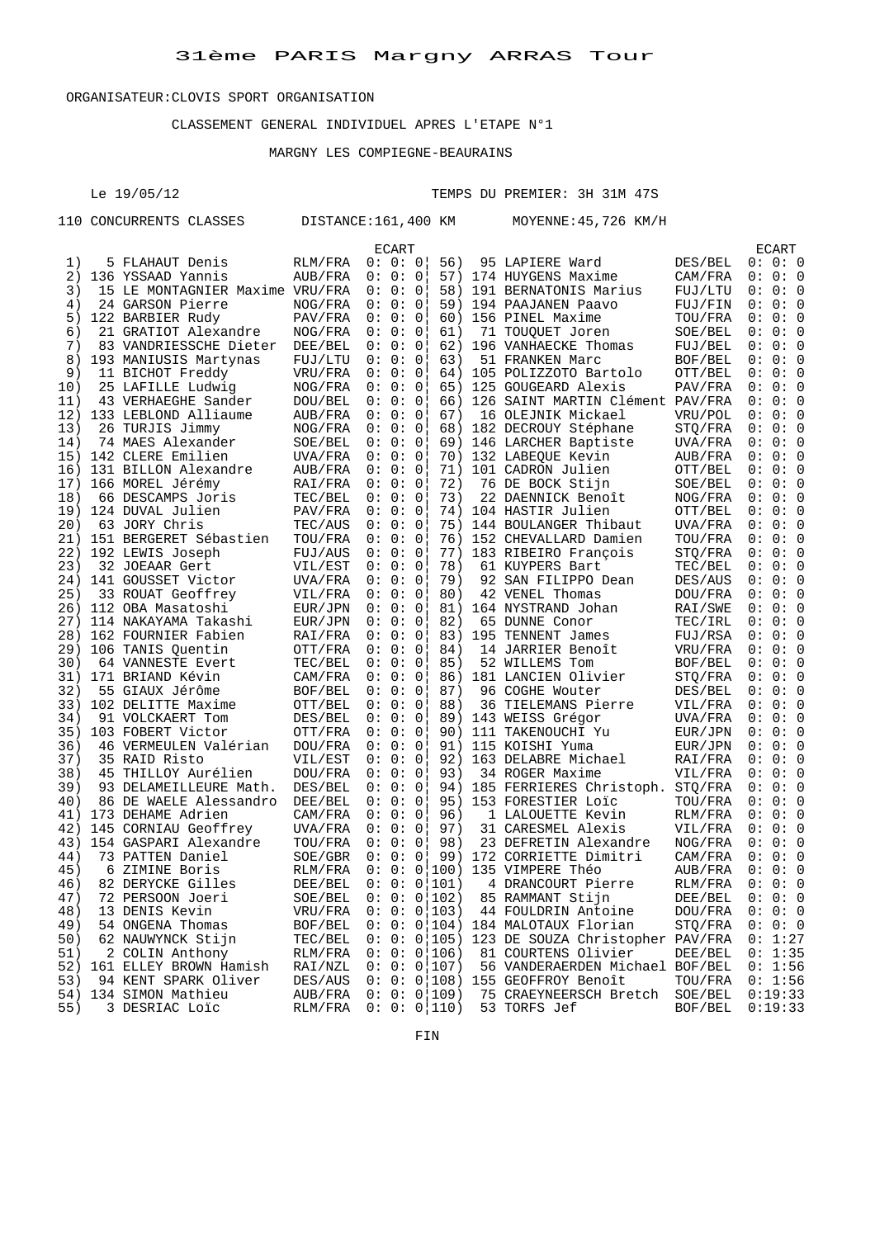#### CLASSEMENT GENERAL INDIVIDUEL APRES L'ETAPE N°1

#### MARGNY LES COMPIEGNE-BEAURAINS

Le 19/05/12 TEMPS DU PREMIER: 3H 31M 47S

|     | 110 CONCURRENTS CLASSES                   | DISTANCE:161,400 KM |          |                | MOYENNE: 45, 726 KM/H                         |         |     |         |     |
|-----|-------------------------------------------|---------------------|----------|----------------|-----------------------------------------------|---------|-----|---------|-----|
|     |                                           |                     | ECART    |                |                                               |         |     | ECART   |     |
| 1)  | 5 FLAHAUT Denis                           | RLM/FRA             | 0: 0: 0  | 56)            | 95 LAPIERE Ward                               | DES/BEL |     | 0: 0: 0 |     |
| 2)  | 136 YSSAAD Yannis                         | AUB/FRA             | 0: 0: 0  |                | 57) 174 HUYGENS Maxime                        | CAM/FRA |     | 0: 0: 0 |     |
| 3)  | 15 LE MONTAGNIER Maxime VRU/FRA           |                     | 0:0:0    |                | 58) 191 BERNATONIS Marius                     | FUJ/LTU |     | 0: 0: 0 |     |
| 4)  | 24 GARSON Pierre                          | NOG/FRA             | 0: 0: 0  | 59)            | 194 PAAJANEN Paavo                            | FUJ/FIN |     | 0: 0: 0 |     |
| 5)  | 122 BARBIER Rudy                          | PAV/FRA             | 0: 0: 0  | 60)            | 156 PINEL Maxime                              | TOU/FRA |     | 0: 0: 0 |     |
| 6)  | 21 GRATIOT Alexandre                      | NOG/FRA             | 0: 0: 0  | 61)            | 71 TOUQUET Joren                              | SOE/BEL |     | 0: 0: 0 |     |
| 7)  | 83 VANDRIESSCHE Dieter                    | DEE/BEL             | 0: 0: 0  | 62)            | 196 VANHAECKE Thomas                          | FUJ/BEL |     | 0: 0: 0 |     |
| 8)  | 193 MANIUSIS Martynas                     | FUJ/LTU             | 0:0:0    | 63)            | 51 FRANKEN Marc                               | BOF/BEL |     | 0: 0: 0 |     |
| 9)  | 11 BICHOT Freddy                          | VRU/FRA             | 0: 0: 0  | 64)            | 105 POLIZZOTO Bartolo                         | OTT/BEL | 0 : |         | 0:0 |
| 10) | 25 LAFILLE Ludwig                         | NOG/FRA             | 0:0:0    |                | 65) 125 GOUGEARD Alexis                       | PAV/FRA |     | 0: 0: 0 |     |
| 11) | 43 VERHAEGHE Sander                       | DOU/BEL             | 0: 0: 0  |                | 66) 126 SAINT MARTIN Clément PAV/FRA          |         |     | 0: 0: 0 |     |
|     | 12) 133 LEBLOND Alliaume                  | AUB/FRA             | 0: 0: 0  | 67)            | 16 OLEJNIK Mickael                            | VRU/POL |     | 0: 0: 0 |     |
| 13) | 26 TURJIS Jimmy                           | NOG/FRA             | 0: 0: 0  |                | 68) 182 DECROUY Stéphane                      | STQ/FRA |     | 0: 0: 0 |     |
| 14) | 74 MAES Alexander                         | SOE/BEL             | 0: 0: 0  | 69)            | 146 LARCHER Baptiste                          | UVA/FRA |     | 0: 0: 0 |     |
|     | 15) 142 CLERE Emilien                     | UVA/FRA             | 0: 0: 0  |                | 70) 132 LABEQUE Kevin                         | AUB/FRA |     | 0: 0: 0 |     |
|     | 16) 131 BILLON Alexandre                  | AUB/FRA             | 0: 0: 0  |                | 71) 101 CADRON Julien                         | OTT/BEL | 0 : |         | 0:0 |
|     | 17) 166 MOREL Jérémy                      | RAI/FRA             | 0: 0: 0  | 72)            | 76 DE BOCK Stijn                              | SOE/BEL |     | 0: 0: 0 |     |
| 18) |                                           | TEC/BEL             | 0: 0: 0  | 73)            |                                               |         |     | 0: 0: 0 |     |
|     | 66 DESCAMPS Joris<br>19) 124 DUVAL Julien |                     | 0: 0: 0  | 74)            | 22 DAENNICK Benoît<br>104 HASTIR Julien       | NOG/FRA |     | 0: 0: 0 |     |
|     |                                           | PAV/FRA             | 0: 0: 0! |                |                                               | OTT/BEL |     |         |     |
| 20) | 63 JORY Chris                             | TEC/AUS             |          |                | 75) 144 BOULANGER Thibaut                     | UVA/FRA |     | 0: 0: 0 |     |
|     | 21) 151 BERGERET Sébastien                | TOU/FRA             | 0:0:0    |                | 76) 152 CHEVALLARD Damien                     | TOU/FRA |     | 0:0:0   |     |
|     | 22) 192 LEWIS Joseph                      | FUJ/AUS             | 0:0:0    | 77)            | 183 RIBEIRO François                          | STO/FRA |     | 0: 0: 0 |     |
| 23) | 32 JOEAAR Gert                            | VIL/EST             | 0: 0: 0  | 78)            | 61 KUYPERS Bart                               | TEC/BEL |     | 0: 0: 0 |     |
|     | 24) 141 GOUSSET Victor                    | UVA/FRA             | 0:0:0    | 79)            | 92 SAN FILIPPO Dean                           | DES/AUS |     | 0: 0: 0 |     |
| 25) | 33 ROUAT Geoffrey                         | VIL/FRA             | 0:0:0    | 80)            | 42 VENEL Thomas                               | DOU/FRA |     | 0: 0: 0 |     |
|     | 26) 112 OBA Masatoshi                     | EUR/JPN             | 0:0:0    | 81)            | 164 NYSTRAND Johan                            | RAI/SWE |     | 0: 0: 0 |     |
|     | 27) 114 NAKAYAMA Takashi                  | EUR/JPN             | 0: 0: 0  | 82)            | 65 DUNNE Conor                                | TEC/IRL |     | 0: 0: 0 |     |
|     | 28) 162 FOURNIER Fabien                   | RAI/FRA             | 0: 0: 0  | 83)            | 195 TENNENT James                             | FUJ/RSA |     | 0: 0: 0 |     |
|     | 29) 106 TANIS Quentin                     | OTT/FRA             | 0:0:0    | 84)            | 14 JARRIER Benoît                             | VRU/FRA |     | 0: 0: 0 |     |
| 30) | 64 VANNESTE Evert                         | TEC/BEL             | 0: 0: 0  | 85)            | 52 WILLEMS Tom                                | BOF/BEL |     | 0: 0: 0 |     |
| 31) | 171 BRIAND Kévin                          | CAM/FRA             | 0: 0: 0  | 86)            | 181 LANCIEN Olivier                           | STQ/FRA |     | 0: 0: 0 |     |
| 32) | 55 GIAUX Jérôme                           | BOF/BEL             | 0: 0: 0  | 87)            | 96 COGHE Wouter                               | DES/BEL | 0 : |         | 0:0 |
| 33) | 102 DELITTE Maxime                        | OTT/BEL             | 0:0:0    | 88)            | 36 TIELEMANS Pierre                           | VIL/FRA |     | 0: 0: 0 |     |
| 34) | 91 VOLCKAERT Tom                          | DES/BEL             | 0: 0: 0  | 89)            | 143 WEISS Grégor                              | UVA/FRA |     | 0: 0: 0 |     |
|     | 35) 103 FOBERT Victor                     | OTT/FRA             | 0: 0: 0  | 90)            | 111 TAKENOUCHI Yu                             | EUR/JPN |     | 0: 0: 0 |     |
| 36) | 46 VERMEULEN Valérian                     | DOU/FRA             | 0: 0: 0  | 91)            | 115 KOISHI Yuma                               | EUR/JPN |     | 0: 0: 0 |     |
| 37) | 35 RAID Risto                             | VIL/EST             | 0: 0: 0  | 92)            | 163 DELABRE Michael                           | RAI/FRA |     | 0: 0: 0 |     |
| 38) | 45 THILLOY Aurélien                       | DOU/FRA             | 0: 0: 0  | 93)            | 34 ROGER Maxime                               | VIL/FRA |     | 0: 0: 0 |     |
| 39) | 93 DELAMEILLEURE Math.                    | DES/BEL             | 0: 0: 0  | 94)            | 185 FERRIERES Christoph.                      | STQ/FRA |     | 0: 0: 0 |     |
| 40) | 86 DE WAELE Alessandro                    | DEE/BEL             | 0: 0: 0  | 95)            | 153 FORESTIER Loic                            | TOU/FRA |     | 0: 0: 0 |     |
| 41) | 173 DEHAME Adrien                         | CAM/FRA             | 0: 0: 0  | 96)            | 1 LALOUETTE Kevin                             | RLM/FRA |     | 0: 0: 0 |     |
| 42) | 145 CORNIAU Geoffrey                      | UVA/FRA             | 0:0:0    | 97)            | 31 CARESMEL Alexis                            | VIL/FRA |     | 0: 0: 0 |     |
| 43) | 154 GASPARI Alexandre                     | TOU/FRA             | 0:0:0    | 98)            | 23 DEFRETIN Alexandre                         | NOG/FRA |     | 0: 0: 0 |     |
| 44) | 73 PATTEN Daniel                          | SOE/GBR             | 0:0:0    |                | 99) 172 CORRIETTE Dimitri                     | CAM/FRA |     | 0: 0: 0 |     |
| 45) | 6 ZIMINE Boris                            | RLM/FRA             |          | 0: 0: 0 100)   | 135 VIMPERE Théo                              | AUB/FRA |     | 0: 0: 0 |     |
| 46) | 82 DERYCKE Gilles                         | DEE/BEL             |          | 0: 0: 0   101) | 4 DRANCOURT Pierre                            | RLM/FRA |     | 0: 0: 0 |     |
| 47) | 72 PERSOON Joeri                          | SOE/BEL             |          | 0: 0: 0   102) | 85 RAMMANT Stijn                              | DEE/BEL |     | 0: 0: 0 |     |
| 48) | 13 DENIS Kevin                            | VRU/FRA             |          | 0: 0: 0   103) | 44 FOULDRIN Antoine                           | DOU/FRA |     | 0: 0: 0 |     |
| 49) | 54 ONGENA Thomas                          | BOF/BEL             |          |                | $0: 0: 0 104$ 184 MALOTAUX Florian            | STO/FRA |     | 0: 0: 0 |     |
| 50) | 62 NAUWYNCK Stijn                         | TEC/BEL             |          |                | 0: 0: 0 105) 123 DE SOUZA Christopher PAV/FRA |         |     | 0: 1:27 |     |
| 51) | 2 COLIN Anthony                           | RLM/FRA             |          | 0: 0: 0   106) | 81 COURTENS Olivier                           | DEE/BEL |     | 0: 1:35 |     |
| 52) | 161 ELLEY BROWN Hamish                    | RAI/NZL             |          | 0: 0: 0   107) | 56 VANDERAERDEN Michael BOF/BEL               |         |     | 0: 1:56 |     |
| 53) | 94 KENT SPARK Oliver                      | DES/AUS             |          | 0: 0: 0 108)   | 155 GEOFFROY Benoît                           | TOU/FRA |     | 0: 1:56 |     |
|     | 54) 134 SIMON Mathieu                     | AUB/FRA             |          | 0: 0: 0   109) | 75 CRAEYNEERSCH Bretch                        | SOE/BEL |     | 0:19:33 |     |
| 55) | 3 DESRIAC Loic                            | RLM/FRA             |          | 0: 0: 0   110) | 53 TORFS Jef                                  | BOF/BEL |     | 0:19:33 |     |
|     |                                           |                     |          |                |                                               |         |     |         |     |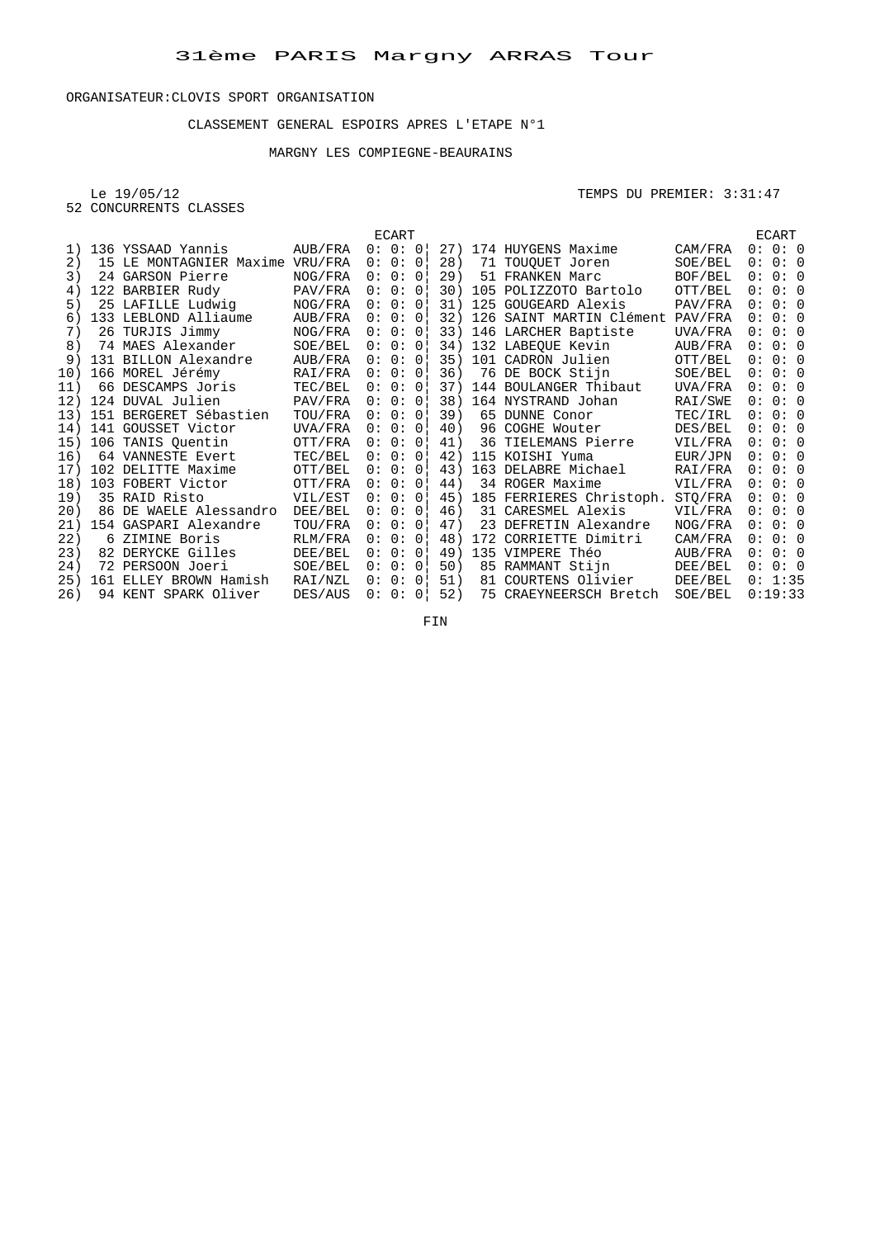#### CLASSEMENT GENERAL ESPOIRS APRES L'ETAPE N°1

## MARGNY LES COMPIEGNE-BEAURAINS

52 CONCURRENTS CLASSES

#### Le 19/05/12 TEMPS DU PREMIER: 3:31:47

|     |                         |         |     | ECART    |                |     |    |                          |         |     | ECART   |  |
|-----|-------------------------|---------|-----|----------|----------------|-----|----|--------------------------|---------|-----|---------|--|
| 1)  | 136 YSSAAD Yannis       | AUB/FRA |     | 0: 0: 0! |                | 27) |    | 174 HUYGENS Maxime       | CAM/FRA |     | 0:0:0   |  |
| 2)  | 15 LE MONTAGNIER Maxime | VRU/FRA |     | 0: 0: 0  |                | 28) |    | 71 TOUOUET Joren         | SOE/BEL | 0:  | 0:0     |  |
| 3)  | 24 GARSON Pierre        | NOG/FRA |     | 0: 0: 0! |                | 29) |    | 51 FRANKEN Marc          | BOF/BEL |     | 0:0:0   |  |
| 4)  | 122 BARBIER Rudy        | PAV/FRA |     | 0: 0: 0! |                | 30) |    | 105 POLIZZOTO Bartolo    | OTT/BEL |     | 0: 0: 0 |  |
| 5)  | 25 LAFILLE Ludwig       | NOG/FRA |     | 0: 0:    | $\overline{0}$ | 31) |    | 125 GOUGEARD Alexis      | PAV/FRA | 0 : | 0:0     |  |
| 6)  | 133 LEBLOND Alliaume    | AUB/FRA |     | 0: 0:    | 0 <sup>1</sup> | 32) |    | 126 SAINT MARTIN Clément | PAV/FRA | 0:  | 0:0     |  |
| 7)  | 26 TURJIS Jimmy         | NOG/FRA |     | 0: 0: 0  |                | 33) |    | 146 LARCHER Baptiste     | UVA/FRA |     | 0:0:0   |  |
| 8)  | 74 MAES Alexander       | SOE/BEL |     | 0: 0: 0! |                | 34) |    | 132 LABEQUE Kevin        | AUB/FRA |     | 0: 0: 0 |  |
| 9)  | 131 BILLON Alexandre    | AUB/FRA |     | 0: 0: 0! |                | 35) |    | 101 CADRON Julien        | OTT/BEL | 0:  | 0:0     |  |
| 10) | 166 MOREL Jérémy        | RAI/FRA |     | 0: 0: 0  |                | 36) |    | 76 DE BOCK Stijn         | SOE/BEL |     | 0: 0: 0 |  |
| 11) | 66 DESCAMPS Joris       | TEC/BEL |     | 0: 0: 0! |                | 37) |    | 144 BOULANGER Thibaut    | UVA/FRA |     | 0:0:0   |  |
| 12) | 124 DUVAL Julien        | PAV/FRA |     | 0: 0: 0! |                | 38) |    | 164 NYSTRAND Johan       | RAI/SWE | 0 : | 0:0     |  |
| 13) | 151 BERGERET Sébastien  | TOU/FRA | 0:  | 0:0      |                | 39) |    | 65 DUNNE Conor           | TEC/IRL | 0:  | 0:0     |  |
| 14) | 141 GOUSSET Victor      | UVA/FRA |     | 0: 0: 0! |                | 40) |    | 96 COGHE Wouter          | DES/BEL | 0:  | 0:0     |  |
| 15) | 106 TANIS Ouentin       | OTT/FRA |     | 0: 0: 0! |                | 41) |    | 36 TIELEMANS Pierre      | VIL/FRA |     | 0:0:0   |  |
| 16) | 64 VANNESTE Evert       | TEC/BEL |     | 0: 0: 0! |                | 42) |    | 115 KOISHI Yuma          | EUR/JPN |     | 0: 0: 0 |  |
| 17) | 102 DELITTE Maxime      | OTT/BEL |     | 0: 0: 0! |                | 43) |    | 163 DELABRE Michael      | RAI/FRA | 0:  | 0:0     |  |
| 18) | 103 FOBERT Victor       | OTT/FRA |     | 0: 0: 0! |                | 44) |    | 34 ROGER Maxime          | VIL/FRA |     | 0:0:0   |  |
| 19) | 35 RAID Risto           | VIL/EST |     | 0: 0: 0  |                | 45) |    | 185 FERRIERES Christoph. | STQ/FRA |     | 0:0:0   |  |
| 20) | 86 DE WAELE Alessandro  | DEE/BEL |     | 0: 0: 0! |                | 46) |    | 31 CARESMEL Alexis       | VIL/FRA | 0 : | 0:0     |  |
| 21) | 154 GASPARI Alexandre   | TOU/FRA | 0:  | 0:0!     |                | 47) |    | 23 DEFRETIN Alexandre    | NOG/FRA | 0:  | 0:0     |  |
| 22) | 6 ZIMINE Boris          | RLM/FRA |     | 0: 0: 0! |                | 48) |    | 172 CORRIETTE Dimitri    | CAM/FRA | 0:  | 0:0     |  |
| 23) | 82 DERYCKE Gilles       | DEE/BEL |     | 0: 0: 0! |                | 49) |    | 135 VIMPERE Théo         | AUB/FRA |     | 0:0:0   |  |
| 24) | 72 PERSOON Joeri        | SOE/BEL |     | 0: 0: 0  |                | 50) |    | 85 RAMMANT Stijn         | DEE/BEL |     | 0:0:0   |  |
| 25) | 161 ELLEY BROWN Hamish  | RAI/NZL | 0 : | 0:0!     |                | 51) | 81 | COURTENS Olivier         | DEE/BEL |     | 0: 1:35 |  |
| 26) | 94 KENT SPARK Oliver    | DES/AUS |     | 0:0:     | $\Omega$       | 52) |    | 75 CRAEYNEERSCH Bretch   | SOE/BEL |     | 0:19:33 |  |

FIN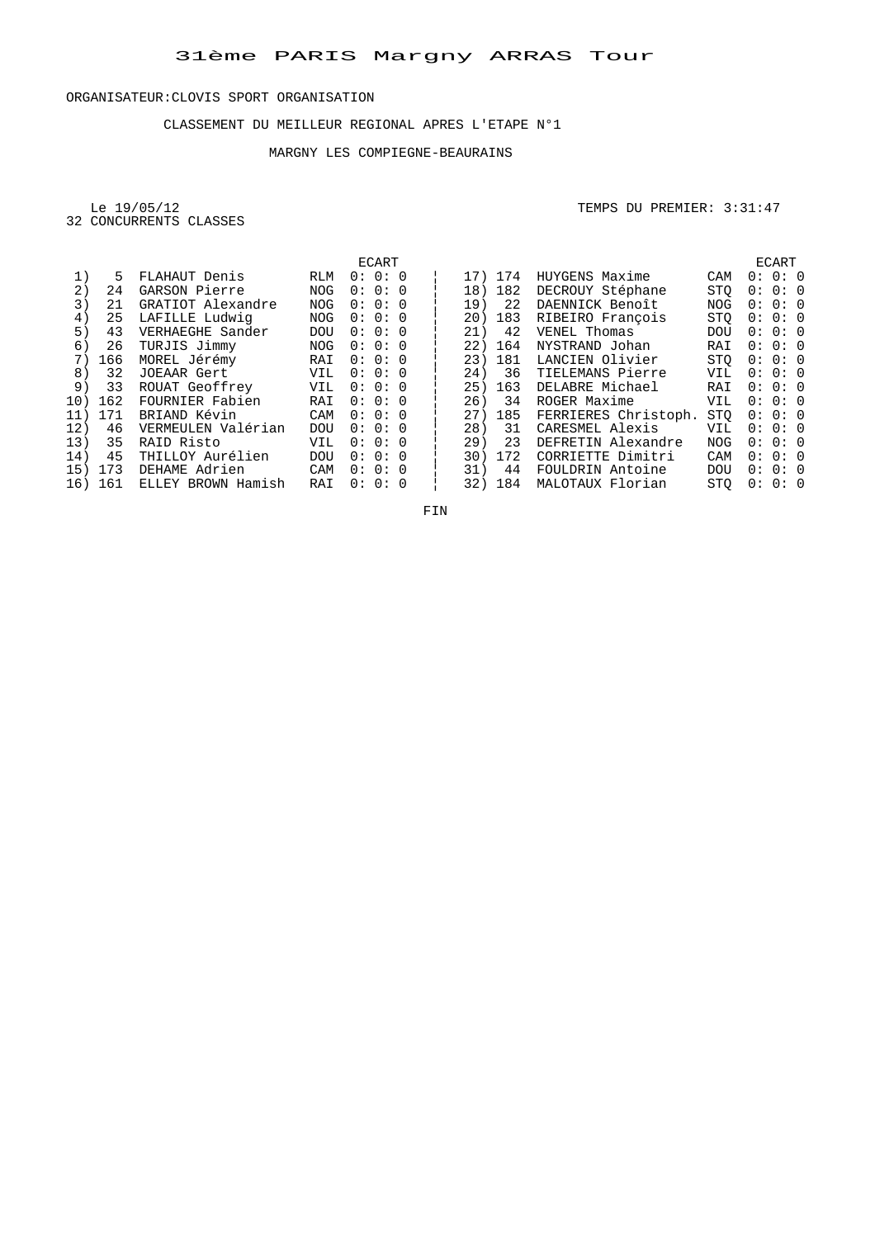#### CLASSEMENT DU MEILLEUR REGIONAL APRES L'ETAPE N°1

## MARGNY LES COMPIEGNE-BEAURAINS

Le 19/05/12<br>32 CONCURRENTS CLASSES

TEMPS DU PREMIER: 3:31:47

|     |         |                       |            |       | ECART |  |     |         |                      |            |         | ECART   |  |
|-----|---------|-----------------------|------------|-------|-------|--|-----|---------|----------------------|------------|---------|---------|--|
| 1)  | 5       | FLAHAUT Denis         | RLM        |       | 0:0:0 |  |     | 17) 174 | HUYGENS Maxime       | CAM        |         | 0:0:0   |  |
| 2)  | 24      | GARSON Pierre         | <b>NOG</b> |       | 0:0:0 |  | 18) | 182     | DECROUY Stéphane     | STO        |         | 0:0:0   |  |
| 3)  | 21      | GRATIOT Alexandre     | <b>NOG</b> |       | 0:0:0 |  | 19) | 22      | DAENNICK Benoît      | <b>NOG</b> |         | 0:0:0   |  |
| 4)  | 25      | LAFILLE Ludwig        | <b>NOG</b> |       | 0:0:0 |  |     | 20) 183 | RIBEIRO François     | <b>STO</b> |         | 0:0:0   |  |
| 5)  | 43      | VERHAEGHE Sander      | <b>DOU</b> |       | 0:0:0 |  | 21) | 42      | VENEL Thomas         | <b>DOU</b> |         | 0:0:0   |  |
| 6)  | 26      | TURJIS Jimmy          | NOG        | 0:0:0 |       |  | 22) | 164     | NYSTRAND Johan       | RAI        |         | 0:0:0   |  |
| 7)  |         | 166 MOREL Jérémy      | RAI        |       | 0:0:0 |  |     | 23) 181 | LANCIEN Olivier      | STO        |         | 0:0:0   |  |
| 8)  | 32      | JOEAAR Gert           | VIL        |       | 0:0:0 |  | 24) | 36      | TIELEMANS Pierre     | VIL        | 0:0:0   |         |  |
| 9)  |         | 33 ROUAT Geoffrey     | VIL        | 0:0:0 |       |  |     | 25) 163 | DELABRE Michael      | RAI        | 0:0:0   |         |  |
|     | 10) 162 | FOURNIER Fabien       | RAI        | 0:0:0 |       |  | 26) | 34      | ROGER Maxime         | VIL        |         | 0:0:0   |  |
|     | 11) 171 | BRIAND Kévin          | CAM        | 0:0:0 |       |  |     | 27) 185 | FERRIERES Christoph. | <b>STO</b> |         | 0:0:0   |  |
| 12) |         | 46 VERMEULEN Valérian | <b>DOU</b> |       | 0:0:0 |  |     | 28) 31  | CARESMEL Alexis      | VIL        |         | 0: 0: 0 |  |
| 13) |         | 35 RAID Risto         | VIL        |       | 0:0:0 |  | 29) | 23      | DEFRETIN Alexandre   | NOG        |         | 0: 0: 0 |  |
| 14) |         | 45 THILLOY Aurélien   | <b>DOU</b> |       | 0:0:0 |  |     | 30) 172 | CORRIETTE Dimitri    | CAM        | 0: 0: 0 |         |  |
|     | 15) 173 | DEHAME Adrien         | CAM        | 0:0:0 |       |  | 31) |         | 44 FOULDRIN Antoine  | <b>DOU</b> | 0:0:0   |         |  |
|     | 16) 161 | ELLEY BROWN Hamish    | RAI        |       | 0:0:0 |  |     | 32) 184 | MALOTAUX Florian     | <b>STO</b> |         | 0:0:0   |  |
|     |         |                       |            |       |       |  |     |         |                      |            |         |         |  |

FIN **FIN**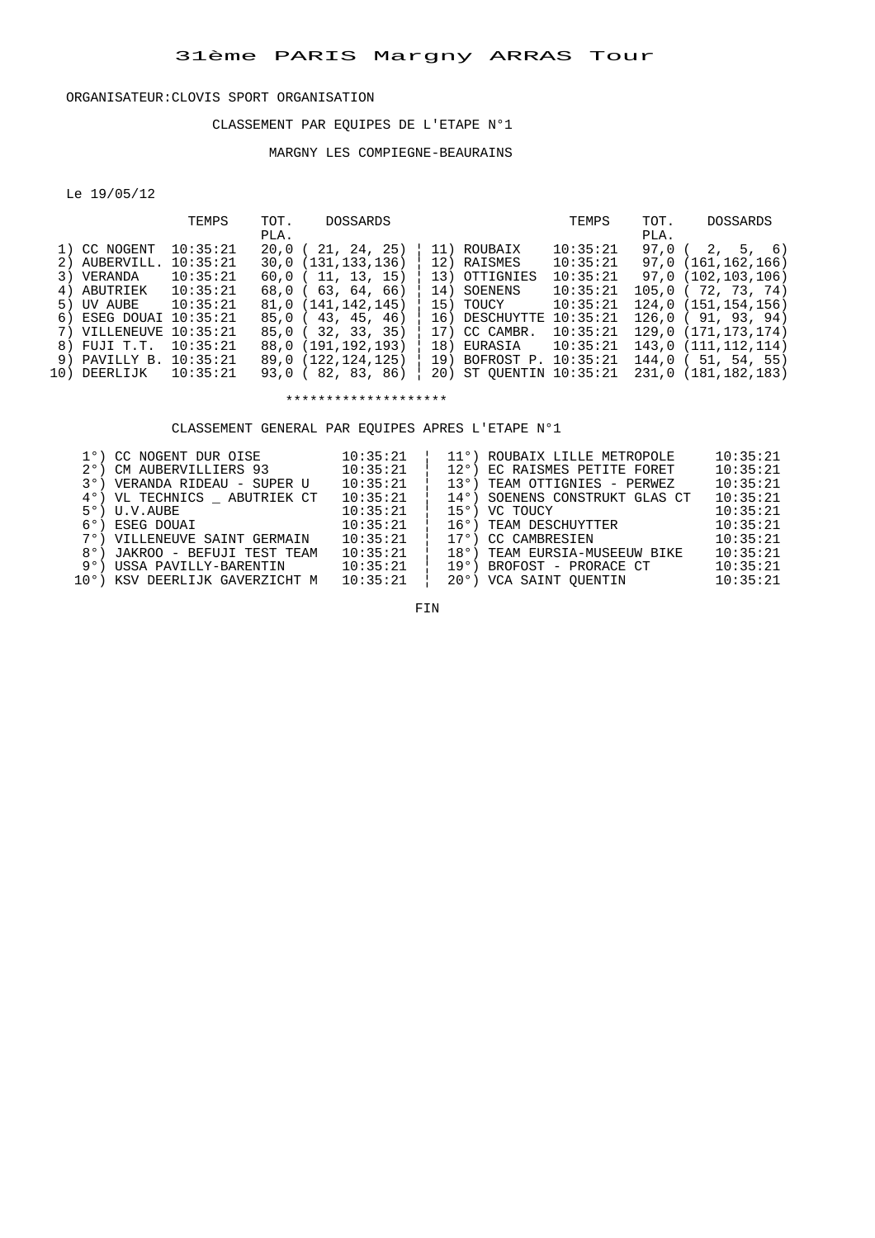#### CLASSEMENT PAR EQUIPES DE L'ETAPE N°1

## MARGNY LES COMPIEGNE-BEAURAINS

Le 19/05/12

|     |               | TEMPS    | TOT. | <b>DOSSARDS</b>       |     |                         | TEMPS    | TOT. | DOSSARDS               |
|-----|---------------|----------|------|-----------------------|-----|-------------------------|----------|------|------------------------|
|     |               |          | PLA. |                       |     |                         |          | PLA. |                        |
|     | 1) CC NOGENT  | 10:35:21 | 20.0 | 21, 24, 25)           |     | 11) ROUBAIX             | 10:35:21 | 97.0 | 2, 5, 6)               |
|     | 2) AUBERVILL. | 10:35:21 |      | 30,0 (131,133,136)    |     | 12) RAISMES             | 10:35:21 |      | 97,0 (161,162,166)     |
|     | 3) VERANDA    | 10:35:21 |      | $60,0$ ( 11, 13, 15)  |     | 13) OTTIGNIES           | 10:35:21 |      | 97,0 (102,103,106)     |
|     | 4) ABUTRIEK   | 10:35:21 |      | 68.0(63.64.66)        |     | 14) SOENENS             | 10:35:21 |      | $105.0$ ( $72.73.74$ ) |
|     | 5) UV AUBE    | 10:35:21 |      | 81,0 (141, 142, 145)  |     | 15) TOUCY               | 10:35:21 |      | 124,0 (151, 154, 156)  |
|     | 6) ESEG DOUAI | 10:35:21 |      | 85,0(43, 45, 46)      |     | 16) DESCHUYTTE          | 10:35:21 |      | 126,0(91,93,94)        |
|     | 7) VILLENEUVE | 10:35:21 |      | $85.0$ ( $32.33.35$ ) |     | 17) CC CAMBR.           | 10:35:21 |      | 129.0 (171.173.174)    |
|     | 8) FUJI T.T.  | 10:35:21 |      | 88.0 (191.192.193)    | 18) | EURASIA                 | 10:35:21 |      | 143.0(111.112.114)     |
|     | 9) PAVILLY B. | 10:35:21 |      | 89,0 (122,124,125)    |     | 19) BOFROST P.          | 10:35:21 |      | $144.0$ ( 51, 54, 55)  |
| 10) | DEERLIJK      | 10:35:21 |      | 93,0 (82, 83, 86)     |     | 20) ST OUENTIN 10:35:21 |          |      | 231.0 (181.182.183)    |
|     |               |          |      |                       |     |                         |          |      |                        |

\*\*\*\*\*\*\*\*\*\*\*\*\*\*\*\*\*\*\*\*

CLASSEMENT GENERAL PAR EQUIPES APRES L'ETAPE N°1

|  | 1°) CC NOGENT DUR OISE         | 10:35:21 | 11°) ROUBAIX LILLE METROPOLE   | 10:35:21 |
|--|--------------------------------|----------|--------------------------------|----------|
|  | 2°) CM AUBERVILLIERS 93        | 10:35:21 | 12°) EC RAISMES PETITE FORET   | 10:35:21 |
|  | 3°) VERANDA RIDEAU - SUPER U   | 10:35:21 | 13°) TEAM OTTIGNIES - PERWEZ   | 10:35:21 |
|  | 4°) VL TECHNICS ABUTRIEK CT    | 10:35:21 | 14°) SOENENS CONSTRUKT GLAS CT | 10:35:21 |
|  | 5°) U.V.AUBE                   | 10:35:21 | 15°) VC TOUCY                  | 10:35:21 |
|  | 6°) ESEG DOUAI                 | 10:35:21 | 16°) TEAM DESCHUYTTER          | 10:35:21 |
|  | 7°) VILLENEUVE SAINT GERMAIN   | 10:35:21 | 17°) CC CAMBRESIEN             | 10:35:21 |
|  | 8°) JAKROO - BEFUJI TEST TEAM  | 10:35:21 | 18°) TEAM EURSIA-MUSEEUW BIKE  | 10:35:21 |
|  | 9°) USSA PAVILLY-BARENTIN      | 10:35:21 | 19°) BROFOST - PRORACE CT      | 10:35:21 |
|  | 10°) KSV DEERLIJK GAVERZICHT M | 10:35:21 | 20°) VCA SAINT OUENTIN         | 10:35:21 |
|  |                                |          |                                |          |

FIN